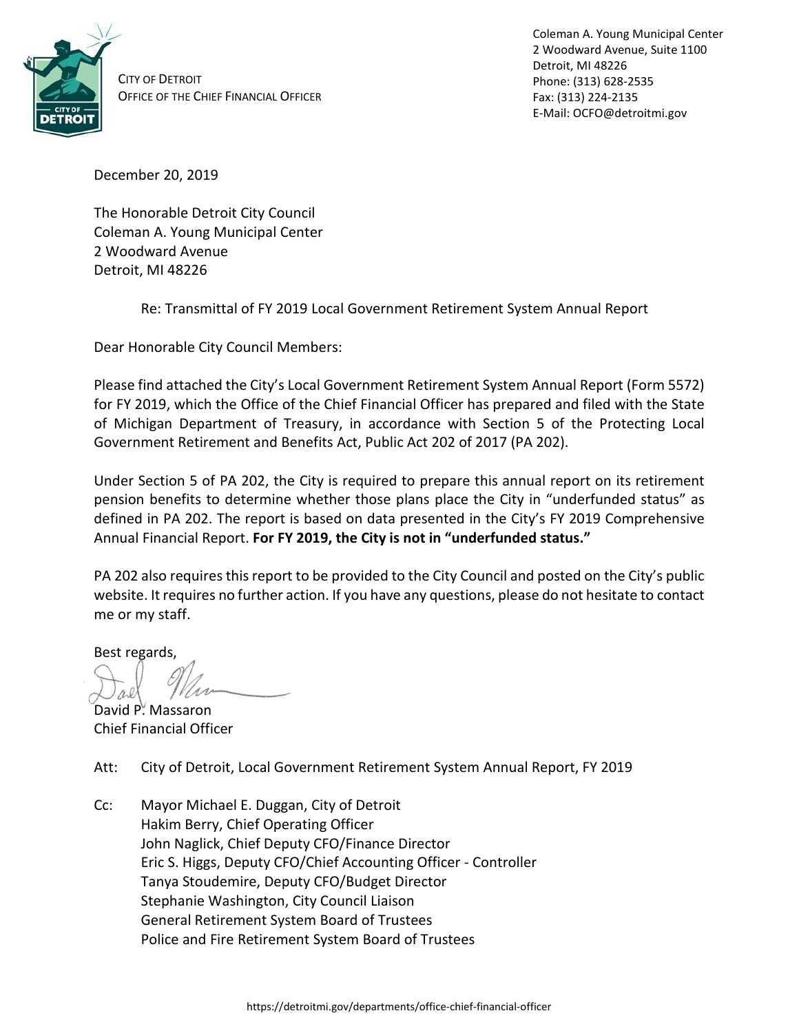

CITY OF DETROIT OFFICE OF THE CHIEF FINANCIAL OFFICER Coleman A. Young Municipal Center 2 Woodward Avenue, Suite 1100 Detroit, MI 48226 Phone: (313) 628-2535 Fax: (313) 224-2135 E-Mail: OCFO@detroitmi.gov

December 20, 2019

The Honorable Detroit City Council Coleman A. Young Municipal Center 2 Woodward Avenue Detroit, MI 48226

Re: Transmittal of FY 2019 Local Government Retirement System Annual Report

Dear Honorable City Council Members:

Please find attached the City's Local Government Retirement System Annual Report (Form 5572) for FY 2019, which the Office of the Chief Financial Officer has prepared and filed with the State of Michigan Department of Treasury, in accordance with Section 5 of the Protecting Local Government Retirement and Benefits Act, Public Act 202 of 2017 (PA 202).

Under Section 5 of PA 202, the City is required to prepare this annual report on its retirement pension benefits to determine whether those plans place the City in "underfunded status" as defined in PA 202. The report is based on data presented in the City's FY 2019 Comprehensive Annual Financial Report. **For FY 2019, the City is not in "underfunded status."**

PA 202 also requires this report to be provided to the City Council and posted on the City's public website. It requires no further action. If you have any questions, please do not hesitate to contact me or my staff.

Best regards,

David P. Massaron Chief Financial Officer

Att: City of Detroit, Local Government Retirement System Annual Report, FY 2019

Cc: Mayor Michael E. Duggan, City of Detroit Hakim Berry, Chief Operating Officer John Naglick, Chief Deputy CFO/Finance Director Eric S. Higgs, Deputy CFO/Chief Accounting Officer - Controller Tanya Stoudemire, Deputy CFO/Budget Director Stephanie Washington, City Council Liaison General Retirement System Board of Trustees Police and Fire Retirement System Board of Trustees